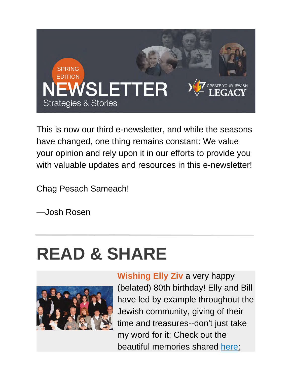

This is now our third e-newsletter, and while the seasons have changed, one thing remains constant: We value your opinion and rely upon it in our efforts to provide you with valuable updates and resources in this e-newsletter!

Chag Pesach Sameach!

—Josh Rosen

## **READ & SHARE**



**Wishing Elly Ziv** a very happy (belated) 80th birthday! Elly and Bill have led by example throughout the Jewish community, giving of their time and treasures--don't just take my word for it; Check out the beautiful memories shared [here:](https://createyourjewishlegacy.org/donors/elinor-and-bill)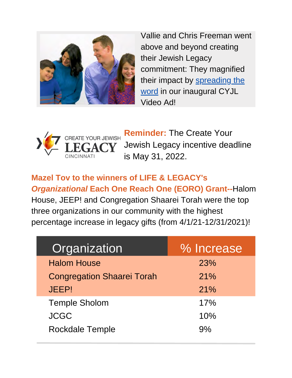

Vallie and Chris Freeman went above and beyond creating their Jewish Legacy commitment: They magnified [their impact by spreading the](https://fb.watch/co6_CzwPa4/) word in our inaugural CYJL Video Ad!



**Reminder:** The Create Your Jewish Legacy incentive deadline is May 31, 2022.

**Mazel Tov to the winners of LIFE & LEGACY's** *Organizational* **Each One Reach One (EORO) Grant--**Halom House, JEEP! and Congregation Shaarei Torah were the top three organizations in our community with the highest percentage increase in legacy gifts (from 4/1/21-12/31/2021)!

| Organization                      | % Increase |
|-----------------------------------|------------|
| <b>Halom House</b>                | 23%        |
| <b>Congregation Shaarei Torah</b> | 21%        |
| <b>JEEP!</b>                      | 21%        |
| <b>Temple Sholom</b>              | 17%        |
| <b>JCGC</b>                       | 10%        |
| <b>Rockdale Temple</b>            | $Q_0$      |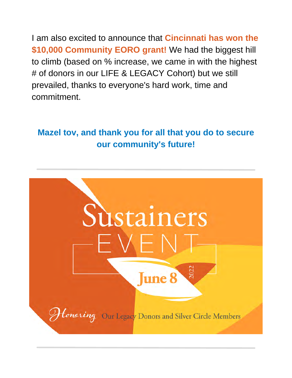I am also excited to announce that **Cincinnati has won the \$10,000 Community EORO grant!** We had the biggest hill to climb (based on % increase, we came in with the highest # of donors in our LIFE & LEGACY Cohort) but we still prevailed, thanks to everyone's hard work, time and commitment.

## **Mazel tov, and thank you for all that you do to secure our community's future!**

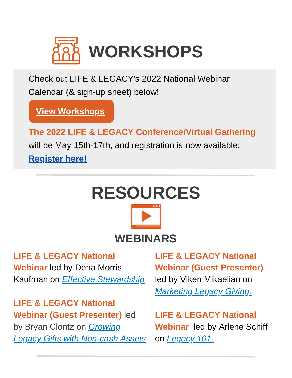

Check out LIFE & LEGACY's 2022 National Webinar Calendar (& sign-up sheet) below!

**[View Workshops](https://www.dropbox.com/s/i2pbalicpmb6a3q/2022%20National%20LIFE%20%26%20LEGACY%20Webinar%20Calendar.pdf?dl=0)**

**The 2022 LIFE & LEGACY Conference/Virtual Gathering** will be May 15th-17th, and registration is now available: **[Register here!](https://events.bizzabo.com/2022LegacyGathering)**



**LIFE & LEGACY National Webinar** led by Dena Morris Kaufman on *[Effective Stewardship](https://www.dropbox.com/sh/g2x7b57lmyady7d/AABYPBij47oxl8xJ8xuz4ylRa?dl=0&preview=Session+Recording+3-8-22.mp4)*

**LIFE & LEGACY National Webinar (Guest Presenter)** led by Bryan Clontz on *Growing [Legacy Gifts with Non-cash Assets](https://www.dropbox.com/sh/o0zib48wrqzh9ht/AACmRJa2Q__-OcCgRKnRSL0Sa?dl=0&preview=Session+Recording+(1-19-22).mp4)*

**LIFE & LEGACY National Webinar (Guest Presenter)** led by Viken Mikaelian on *[Marketing Legacy Giving.](https://www.dropbox.com/sh/rtjj93l1wdgn2k2/AADsKe8A3m74509c1rQRk26Ia?dl=0&preview=Session+Recording+(3-24-22).mp4)*

**LIFE & LEGACY National Webinar** led by Arlene Schiff on *[Legacy 101.](https://www.dropbox.com/sh/tr3orf8aczhwc1d/AADZIbkjEdqp5Fyvbfz4i1UVa?dl=0)*